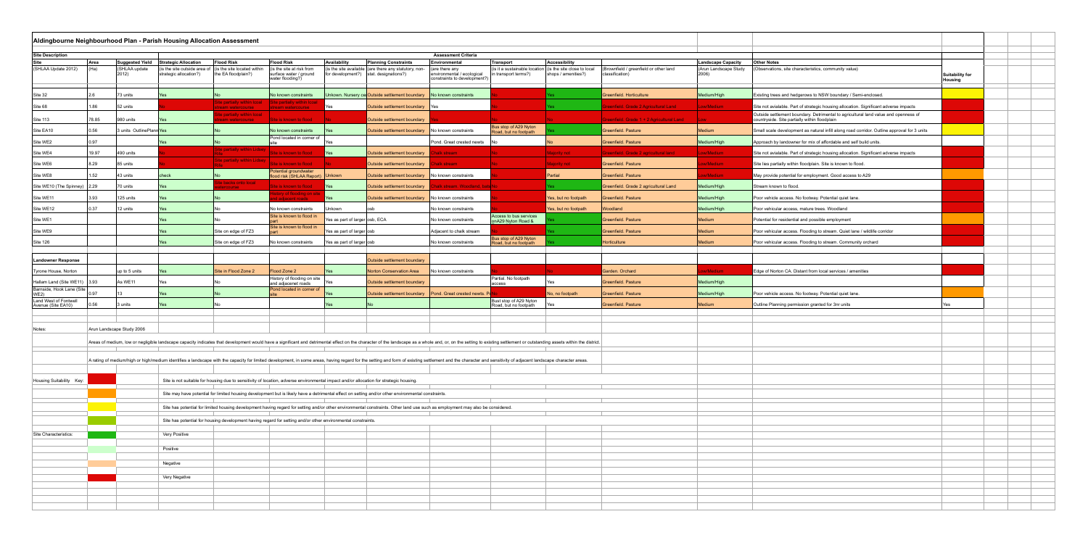|                                                | Aldingbourne Neighbourhood Plan - Parish Housing Allocation Assessment                                                                                                                                                         |                                                                                                                                                                                                                                |                                                        |                                                    |                                                                                                                                        |                                |                                                                                                                                                    |                                                                             |                                                       |                                                    |                                                           |                                |                                                                                                                                      |                                   |  |
|------------------------------------------------|--------------------------------------------------------------------------------------------------------------------------------------------------------------------------------------------------------------------------------|--------------------------------------------------------------------------------------------------------------------------------------------------------------------------------------------------------------------------------|--------------------------------------------------------|----------------------------------------------------|----------------------------------------------------------------------------------------------------------------------------------------|--------------------------------|----------------------------------------------------------------------------------------------------------------------------------------------------|-----------------------------------------------------------------------------|-------------------------------------------------------|----------------------------------------------------|-----------------------------------------------------------|--------------------------------|--------------------------------------------------------------------------------------------------------------------------------------|-----------------------------------|--|
| Site Description<br><b>Assessment Criteria</b> |                                                                                                                                                                                                                                |                                                                                                                                                                                                                                |                                                        |                                                    |                                                                                                                                        |                                |                                                                                                                                                    |                                                                             |                                                       |                                                    |                                                           |                                |                                                                                                                                      |                                   |  |
| Site                                           | Area                                                                                                                                                                                                                           | <b>Suggested Yield</b>                                                                                                                                                                                                         | <b>Strategic Allocation</b>                            | <b>Flood Risk</b>                                  | <b>Flood Risk</b>                                                                                                                      | Availability                   | <b>Planning Constraints</b>                                                                                                                        | Environmental                                                               | Transport                                             | Accessibility                                      |                                                           | <b>Landscape Capacity</b>      | <b>Other Notes</b>                                                                                                                   |                                   |  |
| (SHLAA Update 2012)                            | $ $ (Ha)                                                                                                                                                                                                                       | (SHLAA update<br>2012)                                                                                                                                                                                                         | (is the site outside area of<br>strategic allocation?) | (is the site located within<br>the EA floodplain?) | (is the site at risk from<br>surface water / ground<br>water flooding?)                                                                |                                | (is the site available $ $ (are there any statutory, non-<br>for development?) $ stat.$ designations?)                                             | (are there any<br>environmental / ecological<br>constraints to development? | (is it a sustainable location<br>in transport terms?) | (is the site close to local<br>shops / amenities?) | (Brownfield / greenfield or other land<br>classification) | (Arun Landscape Study<br>2006) | (Observations, site characteristics, community value)                                                                                | Suitability for<br><b>Housing</b> |  |
| Site 32                                        | 2 R                                                                                                                                                                                                                            | 73 units                                                                                                                                                                                                                       |                                                        |                                                    | No known constraints                                                                                                                   |                                | Unkown. Nursery cel Outside settlement boundary   No known constraints                                                                             |                                                                             |                                                       |                                                    | Greenfield. Horticulture                                  | Medium/High                    | Existing trees and hedgerows to NSW boundary / Semi-enclosed                                                                         |                                   |  |
| Site 68                                        | 1.86                                                                                                                                                                                                                           | 52 units                                                                                                                                                                                                                       |                                                        | Site partially within Icoal<br>stream watercourse  | ite partially within Icoa<br>tream watercourse :                                                                                       | Yes                            | Outside settlement boundary Yes                                                                                                                    |                                                                             |                                                       |                                                    | enfield. Grade 2 Agricultural Land                        | Low/Medium                     | Site not avialable. Part of strategic housing allocation. Significant adverse impacts                                                |                                   |  |
| Site 113                                       | 78.85                                                                                                                                                                                                                          | 980 units                                                                                                                                                                                                                      |                                                        | <b>partially within lcoal</b><br>eam watercourse   | Site is known to flood                                                                                                                 |                                | Outside settlement boundary                                                                                                                        |                                                                             |                                                       |                                                    | Greenfield. Grade 1 + 2 Agricultural Land                 | <b>Low</b>                     | Outside settlement boundary. Detrimental to agricultural land value and openness of<br>countryside. Site partially within floodplain |                                   |  |
| Site EA10                                      | 0.56                                                                                                                                                                                                                           | 3 units OutlinePlann Yes                                                                                                                                                                                                       |                                                        |                                                    | No known constraints                                                                                                                   |                                | Outside settlement boundary                                                                                                                        | No known constraints                                                        | Bus stop of A29 Nyton<br>Road, but no footpath        |                                                    | Greenfield. Pasture                                       | Medium                         | Small scale development as natural infill along road corridor. Outline approval for 3 units                                          |                                   |  |
| Site WE2                                       | 0.97                                                                                                                                                                                                                           |                                                                                                                                                                                                                                |                                                        |                                                    | Pond located in corner of                                                                                                              |                                |                                                                                                                                                    | Pond. Great crested newts                                                   |                                                       |                                                    | Greenfield. Pasture                                       | Medium/High                    | Approach by landowner for mix of affordable and self build units                                                                     |                                   |  |
| Site WE4                                       | 19.97                                                                                                                                                                                                                          | 490 units                                                                                                                                                                                                                      |                                                        | Site partially within Lidsey                       | Site is known to flood                                                                                                                 | <u>IYes</u>                    | Outside settlement boundary                                                                                                                        | alk stream                                                                  |                                                       | <b>Majority not</b>                                | Greenfield. Grade 2 agricultural land                     | Low/Medium                     | Site not avialable. Part of strategic housing allocation. Significant adverse impacts                                                |                                   |  |
| Site WE6                                       | 8.29                                                                                                                                                                                                                           | 85 units                                                                                                                                                                                                                       |                                                        | Site partially within Lidsey                       | Site is known to flood                                                                                                                 |                                | Outside settlement boundary                                                                                                                        | alk stream                                                                  |                                                       | <b>Majority not</b>                                | Greenfield. Pasture                                       | w/Medium                       | Site lies partially within floodplain. Site is known to flood.                                                                       |                                   |  |
| Site WE8                                       | 1.52                                                                                                                                                                                                                           | 43 units                                                                                                                                                                                                                       | check                                                  |                                                    | Potential groundwater<br>flood risk (SHLAA Report) Unkown                                                                              |                                | Outside settlement boundary   No known constraints                                                                                                 |                                                                             |                                                       | Partial                                            | Greenfield. Pasture                                       | w/Medium                       | May provide potential for employment. Good access to A29                                                                             |                                   |  |
| Site WE10 (The Spinney) 2.29                   |                                                                                                                                                                                                                                | 70 units                                                                                                                                                                                                                       |                                                        | e backs onto local<br><b>course</b>                | Site is known to flood                                                                                                                 | <b>I</b> Yes                   | Outside settlement boundary                                                                                                                        | halk stream. Woodland, bats No                                              |                                                       |                                                    | Greenfield. Grade 2 agricultural Land                     | Medium/High                    | Stream known to flood.                                                                                                               |                                   |  |
| Site WE11                                      | 3.93                                                                                                                                                                                                                           | 125 units                                                                                                                                                                                                                      |                                                        |                                                    | tory of flooding on sit<br>l adiacent roads                                                                                            |                                | Outside settlement boundary                                                                                                                        | No known constraints                                                        |                                                       | Yes, but no footpath                               | Greenfield. Pasture                                       | Medium/High                    | Poor vehicle access. No footway. Potential quiet lane.                                                                               |                                   |  |
| Site WE12                                      | 10.37                                                                                                                                                                                                                          | 12 units                                                                                                                                                                                                                       |                                                        |                                                    | No known constraints                                                                                                                   | Jnkown                         |                                                                                                                                                    | No known constraints                                                        |                                                       | Yes, but no footpath                               | Woodland                                                  | Medium/High                    | Poor vehicular access, mature trees. Woodland                                                                                        |                                   |  |
| Site WE1                                       |                                                                                                                                                                                                                                |                                                                                                                                                                                                                                |                                                        |                                                    | Site is known to flood in                                                                                                              | Yes as part of larger osb, ECA |                                                                                                                                                    | No known constraints                                                        | Access to bus services<br>onA29 Nyton Road &          |                                                    | Greenfield. Pasture                                       | Medium                         | Potential for residential and possible employment                                                                                    |                                   |  |
| Site WE9                                       |                                                                                                                                                                                                                                |                                                                                                                                                                                                                                |                                                        | Site on edge of FZ3                                | Site is known to flood in                                                                                                              | Yes as part of larger osb      |                                                                                                                                                    | Adjacent to chalk stream                                                    |                                                       |                                                    | Greenfield. Pasture                                       | <b>Medium</b>                  | Poor vehicular access. Flooding to stream. Quiet lane / wildlife corridor                                                            |                                   |  |
| Site 126                                       |                                                                                                                                                                                                                                |                                                                                                                                                                                                                                |                                                        | Site on edge of FZ3                                | No known constraints                                                                                                                   | Yes as part of larger osb      |                                                                                                                                                    | No known constraints                                                        | Bus stop of A29 Nyton<br>Road, but no footpath        |                                                    | Horticulture                                              | <b>Medium</b>                  | Poor vehicular access. Flooding to stream. Community orchard                                                                         |                                   |  |
| <b>Landowner Response</b>                      |                                                                                                                                                                                                                                |                                                                                                                                                                                                                                |                                                        |                                                    |                                                                                                                                        |                                | Outside settlement boundary                                                                                                                        |                                                                             |                                                       |                                                    |                                                           |                                |                                                                                                                                      |                                   |  |
| Tyrone House, Norton                           |                                                                                                                                                                                                                                | up to 5 units                                                                                                                                                                                                                  |                                                        | Site in Flood Zone 2                               | Flood Zone 2                                                                                                                           |                                | Norton Conservation Area                                                                                                                           | No known constraints                                                        |                                                       |                                                    | Garden. Orchard                                           | w/Medium                       | Edge of Norton CA. Distant from local services / amenities                                                                           |                                   |  |
| Hallam Land (Site WE11) 3.93                   |                                                                                                                                                                                                                                | As WE11                                                                                                                                                                                                                        |                                                        |                                                    | History of flooding on site                                                                                                            |                                | Outside settlement boundary                                                                                                                        |                                                                             | Partial. No footpath                                  |                                                    | Greenfield. Pasture                                       | Medium/High                    |                                                                                                                                      |                                   |  |
| Barnside, Hook Lane (Site<br>WE2)              | በ 97                                                                                                                                                                                                                           |                                                                                                                                                                                                                                |                                                        |                                                    | and adjacenet roads<br>Pond located in corner of                                                                                       |                                | Outside settlement boundary   Pond. Great crested newts. I                                                                                         |                                                                             | ıccess                                                | No, no footpath                                    | Greenfield. Pasture                                       | Medium/High                    | Poor vehicle access. No footway. Potential quiet lane.                                                                               |                                   |  |
| Land West of Fontwell<br>Avenue (Site EA10)    | 0.56                                                                                                                                                                                                                           | 3 units                                                                                                                                                                                                                        |                                                        |                                                    |                                                                                                                                        |                                |                                                                                                                                                    |                                                                             | Bust stop of A29 Nyton<br>Road, but no footpath       |                                                    | Greenfield. Pasture                                       | Medium                         | Outline Planning permission granted for 3nr units                                                                                    |                                   |  |
|                                                |                                                                                                                                                                                                                                |                                                                                                                                                                                                                                |                                                        |                                                    |                                                                                                                                        |                                |                                                                                                                                                    |                                                                             |                                                       |                                                    |                                                           |                                |                                                                                                                                      |                                   |  |
| Notes:                                         |                                                                                                                                                                                                                                |                                                                                                                                                                                                                                |                                                        |                                                    |                                                                                                                                        |                                |                                                                                                                                                    |                                                                             |                                                       |                                                    |                                                           |                                |                                                                                                                                      |                                   |  |
|                                                | Arun Landscape Study 2006                                                                                                                                                                                                      |                                                                                                                                                                                                                                |                                                        |                                                    |                                                                                                                                        |                                |                                                                                                                                                    |                                                                             |                                                       |                                                    |                                                           |                                |                                                                                                                                      |                                   |  |
|                                                | Areas of medium, low or negligible landscape capacity indicates that development would have a significant and detrimental effect on the character of the landscape as a whole and, or, on the setting to existing settlement o |                                                                                                                                                                                                                                |                                                        |                                                    |                                                                                                                                        |                                |                                                                                                                                                    |                                                                             |                                                       |                                                    |                                                           |                                |                                                                                                                                      |                                   |  |
|                                                |                                                                                                                                                                                                                                | A rating of medium/high or high/medium identifies a landscape with the capacity for limited development, in some areas, having regard for the setting and form of existing settlement and the character and sensitivity of adj |                                                        |                                                    |                                                                                                                                        |                                |                                                                                                                                                    |                                                                             |                                                       |                                                    |                                                           |                                |                                                                                                                                      |                                   |  |
|                                                |                                                                                                                                                                                                                                |                                                                                                                                                                                                                                |                                                        |                                                    |                                                                                                                                        |                                |                                                                                                                                                    |                                                                             |                                                       |                                                    |                                                           |                                |                                                                                                                                      |                                   |  |
| Housing Suitability Key:                       |                                                                                                                                                                                                                                |                                                                                                                                                                                                                                |                                                        |                                                    | Site is not suitable for housing due to sensitivity of location, adverse environmental impact and/or allocation for strategic housing. |                                |                                                                                                                                                    |                                                                             |                                                       |                                                    |                                                           |                                |                                                                                                                                      |                                   |  |
|                                                |                                                                                                                                                                                                                                |                                                                                                                                                                                                                                |                                                        |                                                    |                                                                                                                                        |                                | Site may have potential for limited housing development but is likely have a detrimental effect on setting and/or other environmental constraints. |                                                                             |                                                       |                                                    |                                                           |                                |                                                                                                                                      |                                   |  |
|                                                | Site has potential for limited housing development having regard for setting and/or other environmental constraints. Other land use such as employment may also be considered.                                                 |                                                                                                                                                                                                                                |                                                        |                                                    |                                                                                                                                        |                                |                                                                                                                                                    |                                                                             |                                                       |                                                    |                                                           |                                |                                                                                                                                      |                                   |  |
|                                                |                                                                                                                                                                                                                                |                                                                                                                                                                                                                                |                                                        |                                                    | Site has potential for housing development having regard for setting and/or other environmental constraints.                           |                                |                                                                                                                                                    |                                                                             |                                                       |                                                    |                                                           |                                |                                                                                                                                      |                                   |  |
| Site Characteristics:                          |                                                                                                                                                                                                                                |                                                                                                                                                                                                                                | <b>Very Positive</b>                                   |                                                    |                                                                                                                                        |                                |                                                                                                                                                    |                                                                             |                                                       |                                                    |                                                           |                                |                                                                                                                                      |                                   |  |
|                                                |                                                                                                                                                                                                                                |                                                                                                                                                                                                                                |                                                        |                                                    |                                                                                                                                        |                                |                                                                                                                                                    |                                                                             |                                                       |                                                    |                                                           |                                |                                                                                                                                      |                                   |  |
|                                                |                                                                                                                                                                                                                                |                                                                                                                                                                                                                                | Positive                                               |                                                    |                                                                                                                                        |                                |                                                                                                                                                    |                                                                             |                                                       |                                                    |                                                           |                                |                                                                                                                                      |                                   |  |
|                                                |                                                                                                                                                                                                                                |                                                                                                                                                                                                                                | Negative                                               |                                                    |                                                                                                                                        |                                |                                                                                                                                                    |                                                                             |                                                       |                                                    |                                                           |                                |                                                                                                                                      |                                   |  |
|                                                |                                                                                                                                                                                                                                |                                                                                                                                                                                                                                | Very Negative                                          |                                                    |                                                                                                                                        |                                |                                                                                                                                                    |                                                                             |                                                       |                                                    |                                                           |                                |                                                                                                                                      |                                   |  |
|                                                |                                                                                                                                                                                                                                |                                                                                                                                                                                                                                |                                                        |                                                    |                                                                                                                                        |                                |                                                                                                                                                    |                                                                             |                                                       |                                                    |                                                           |                                |                                                                                                                                      |                                   |  |
|                                                |                                                                                                                                                                                                                                |                                                                                                                                                                                                                                |                                                        |                                                    |                                                                                                                                        |                                |                                                                                                                                                    |                                                                             |                                                       |                                                    |                                                           |                                |                                                                                                                                      |                                   |  |
|                                                |                                                                                                                                                                                                                                |                                                                                                                                                                                                                                |                                                        |                                                    |                                                                                                                                        |                                |                                                                                                                                                    |                                                                             |                                                       |                                                    |                                                           |                                |                                                                                                                                      |                                   |  |